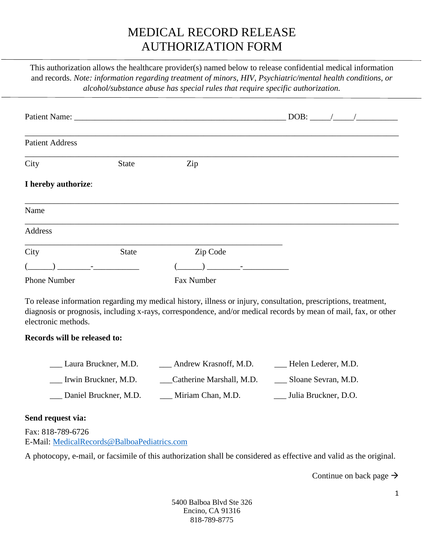## MEDICAL RECORD RELEASE AUTHORIZATION FORM

This authorization allows the healthcare provider(s) named below to release confidential medical information and records. *Note: information regarding treatment of minors, HIV, Psychiatric/mental health conditions, or alcohol/substance abuse has special rules that require specific authorization.*

| <b>Patient Address</b>                  |                       |                                                                                                                                                                                                                                    |                                                                                                                                                                                                                                                                                                                                                       |                         |
|-----------------------------------------|-----------------------|------------------------------------------------------------------------------------------------------------------------------------------------------------------------------------------------------------------------------------|-------------------------------------------------------------------------------------------------------------------------------------------------------------------------------------------------------------------------------------------------------------------------------------------------------------------------------------------------------|-------------------------|
| City                                    | <b>State</b>          | Zip                                                                                                                                                                                                                                |                                                                                                                                                                                                                                                                                                                                                       |                         |
| I hereby authorize:                     |                       |                                                                                                                                                                                                                                    |                                                                                                                                                                                                                                                                                                                                                       |                         |
| Name                                    |                       |                                                                                                                                                                                                                                    |                                                                                                                                                                                                                                                                                                                                                       |                         |
| Address                                 |                       |                                                                                                                                                                                                                                    |                                                                                                                                                                                                                                                                                                                                                       |                         |
| City                                    | State                 | Zip Code                                                                                                                                                                                                                           |                                                                                                                                                                                                                                                                                                                                                       |                         |
| $\begin{array}{ccc} \hline \end{array}$ |                       |                                                                                                                                                                                                                                    | $\overline{a}$ ) and $\overline{a}$ - $\overline{a}$ - $\overline{a}$ - $\overline{a}$ - $\overline{a}$ - $\overline{a}$ - $\overline{a}$ - $\overline{a}$ - $\overline{a}$ - $\overline{a}$ - $\overline{a}$ - $\overline{a}$ - $\overline{a}$ - $\overline{a}$ - $\overline{a}$ - $\overline{a}$ - $\overline{a}$ - $\overline{a}$ - $\overline{a}$ |                         |
| <b>Phone Number</b>                     |                       | Fax Number                                                                                                                                                                                                                         |                                                                                                                                                                                                                                                                                                                                                       |                         |
| electronic methods.                     |                       | To release information regarding my medical history, illness or injury, consultation, prescriptions, treatment,<br>diagnosis or prognosis, including x-rays, correspondence, and/or medical records by mean of mail, fax, or other |                                                                                                                                                                                                                                                                                                                                                       |                         |
| Records will be released to:            |                       |                                                                                                                                                                                                                                    |                                                                                                                                                                                                                                                                                                                                                       |                         |
|                                         | Laura Bruckner, M.D.  | __ Andrew Krasnoff, M.D.                                                                                                                                                                                                           |                                                                                                                                                                                                                                                                                                                                                       | ___ Helen Lederer, M.D. |
| Irwin Bruckner, M.D.                    |                       | __Catherine Marshall, M.D.                                                                                                                                                                                                         |                                                                                                                                                                                                                                                                                                                                                       | ___ Sloane Sevran, M.D. |
|                                         | Daniel Bruckner, M.D. | Miriam Chan, M.D.                                                                                                                                                                                                                  |                                                                                                                                                                                                                                                                                                                                                       | Julia Bruckner, D.O.    |
| Send request via:                       |                       |                                                                                                                                                                                                                                    |                                                                                                                                                                                                                                                                                                                                                       |                         |
| Fax: 818-789-6726                       |                       |                                                                                                                                                                                                                                    |                                                                                                                                                                                                                                                                                                                                                       |                         |

E-Mail: [MedicalRecords@BalboaPediatrics.com](mailto:MedicalRecords@BalboaPediatrics.com)

A photocopy, e-mail, or facsimile of this authorization shall be considered as effective and valid as the original.

Continue on back page  $\rightarrow$